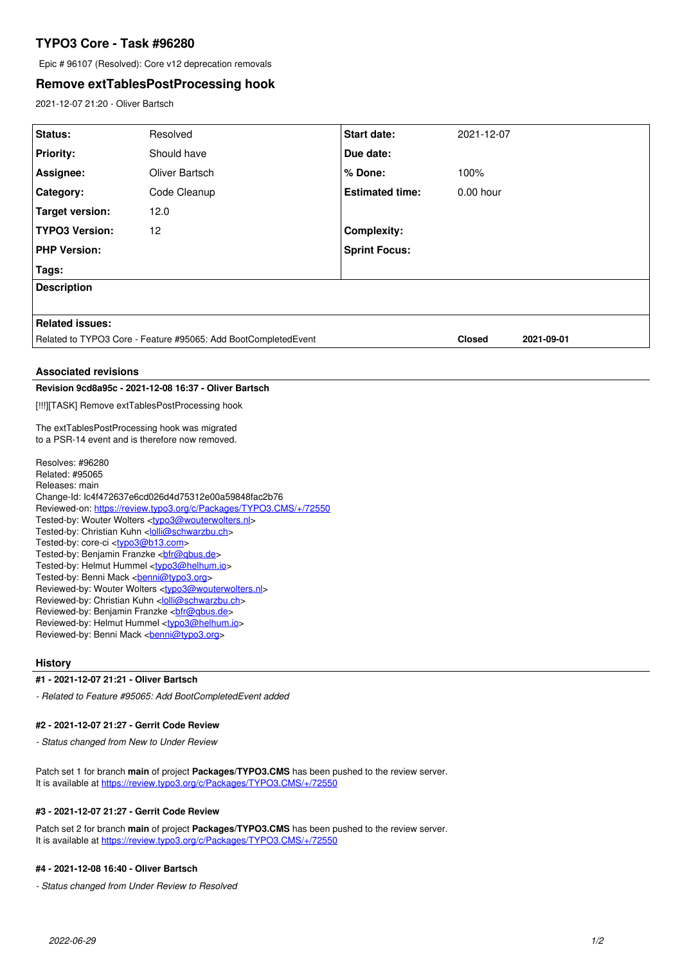# **TYPO3 Core - Task #96280**

Epic # 96107 (Resolved): Core v12 deprecation removals

# **Remove extTablesPostProcessing hook**

2021-12-07 21:20 - Oliver Bartsch

| Status:                                                                                                                                     | Resolved       | Start date:            | 2021-12-07    |            |
|---------------------------------------------------------------------------------------------------------------------------------------------|----------------|------------------------|---------------|------------|
| <b>Priority:</b>                                                                                                                            | Should have    | Due date:              |               |            |
| Assignee:                                                                                                                                   | Oliver Bartsch | % Done:                | 100%          |            |
| Category:                                                                                                                                   | Code Cleanup   | <b>Estimated time:</b> | $0.00$ hour   |            |
| <b>Target version:</b>                                                                                                                      | 12.0           |                        |               |            |
| <b>TYPO3 Version:</b>                                                                                                                       | 12             | <b>Complexity:</b>     |               |            |
| <b>PHP Version:</b>                                                                                                                         |                | <b>Sprint Focus:</b>   |               |            |
| Tags:                                                                                                                                       |                |                        |               |            |
| <b>Description</b>                                                                                                                          |                |                        |               |            |
|                                                                                                                                             |                |                        |               |            |
| <b>Related issues:</b>                                                                                                                      |                |                        |               |            |
| Related to TYPO3 Core - Feature #95065: Add BootCompletedEvent                                                                              |                |                        | <b>Closed</b> | 2021-09-01 |
| <b>Associated revisions</b>                                                                                                                 |                |                        |               |            |
| Revision 9cd8a95c - 2021-12-08 16:37 - Oliver Bartsch                                                                                       |                |                        |               |            |
| [!!!][TASK] Remove extTablesPostProcessing hook                                                                                             |                |                        |               |            |
| The extTablesPostProcessing hook was migrated                                                                                               |                |                        |               |            |
| to a PSR-14 event and is therefore now removed.                                                                                             |                |                        |               |            |
| Resolves: #96280                                                                                                                            |                |                        |               |            |
| Related: #95065                                                                                                                             |                |                        |               |            |
| Releases: main<br>Change-Id: lc4f472637e6cd026d4d75312e00a59848fac2b76                                                                      |                |                        |               |            |
| Reviewed-on: https://review.typo3.org/c/Packages/TYPO3.CMS/+/72550                                                                          |                |                        |               |            |
| Tested-by: Wouter Wolters <typo3@wouterwolters.nl></typo3@wouterwolters.nl>                                                                 |                |                        |               |            |
| Tested-by: Christian Kuhn < <a>lolli@schwarzbu.ch</a> >><br>Tested-by: core-ci <tvpo3@b13.com></tvpo3@b13.com>                              |                |                        |               |            |
| Tested-by: Benjamin Franzke<br>bir@qbus.de>                                                                                                 |                |                        |               |            |
| Tested-by: Helmut Hummel <typo3@helhum.io></typo3@helhum.io>                                                                                |                |                        |               |            |
| Tested-by: Benni Mack <benni@typo3.org><br/>Reviewed-by: Wouter Wolters <typo3@wouterwolters.nl></typo3@wouterwolters.nl></benni@typo3.org> |                |                        |               |            |
| Reviewed-by: Christian Kuhn < <i>olli@schwarzbu.ch&gt;</i>                                                                                  |                |                        |               |            |
|                                                                                                                                             |                |                        |               |            |
| Reviewed-by: Helmut Hummel <typo3@helhum.io><br/>Reviewed-by: Benni Mack <br/> <b>benni@typo3.org&gt;</b></typo3@helhum.io>                 |                |                        |               |            |
|                                                                                                                                             |                |                        |               |            |

## **History**

#### **#1 - 2021-12-07 21:21 - Oliver Bartsch**

*- Related to Feature #95065: Add BootCompletedEvent added*

### **#2 - 2021-12-07 21:27 - Gerrit Code Review**

*- Status changed from New to Under Review*

Patch set 1 for branch **main** of project **Packages/TYPO3.CMS** has been pushed to the review server. It is available at <https://review.typo3.org/c/Packages/TYPO3.CMS/+/72550>

# **#3 - 2021-12-07 21:27 - Gerrit Code Review**

Patch set 2 for branch **main** of project **Packages/TYPO3.CMS** has been pushed to the review server. It is available at <https://review.typo3.org/c/Packages/TYPO3.CMS/+/72550>

#### **#4 - 2021-12-08 16:40 - Oliver Bartsch**

*- Status changed from Under Review to Resolved*